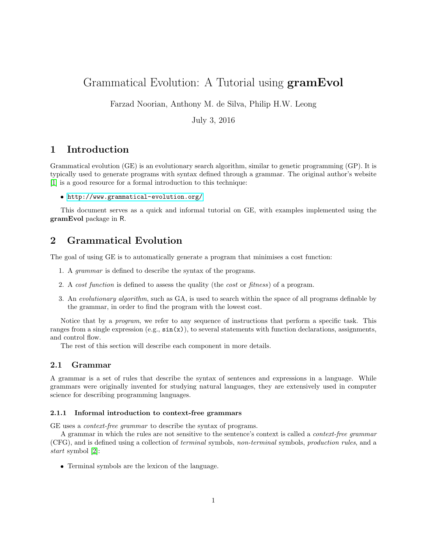# Grammatical Evolution: A Tutorial using gramEvol

Farzad Noorian, Anthony M. de Silva, Philip H.W. Leong

July 3, 2016

## 1 Introduction

Grammatical evolution (GE) is an evolutionary search algorithm, similar to genetic programming (GP). It is typically used to generate programs with syntax defined through a grammar. The original author's website [\[1\]](#page-15-0) is a good resource for a formal introduction to this technique:

<http://www.grammatical-evolution.org/>

This document serves as a quick and informal tutorial on GE, with examples implemented using the gramEvol package in R.

## 2 Grammatical Evolution

The goal of using GE is to automatically generate a program that minimises a cost function:

- 1. A grammar is defined to describe the syntax of the programs.
- 2. A cost function is defined to assess the quality (the cost or fitness) of a program.
- 3. An evolutionary algorithm, such as GA, is used to search within the space of all programs definable by the grammar, in order to find the program with the lowest cost.

Notice that by a program, we refer to any sequence of instructions that perform a specific task. This ranges from a single expression  $(e.g., \sin(x))$ , to several statements with function declarations, assignments, and control flow.

The rest of this section will describe each component in more details.

### 2.1 Grammar

A grammar is a set of rules that describe the syntax of sentences and expressions in a language. While grammars were originally invented for studying natural languages, they are extensively used in computer science for describing programming languages.

#### <span id="page-0-0"></span>2.1.1 Informal introduction to context-free grammars

GE uses a context-free grammar to describe the syntax of programs.

A grammar in which the rules are not sensitive to the sentence's context is called a context-free grammar (CFG), and is defined using a collection of terminal symbols, non-terminal symbols, production rules, and a start symbol [\[2\]](#page-15-1):

Terminal symbols are the lexicon of the language.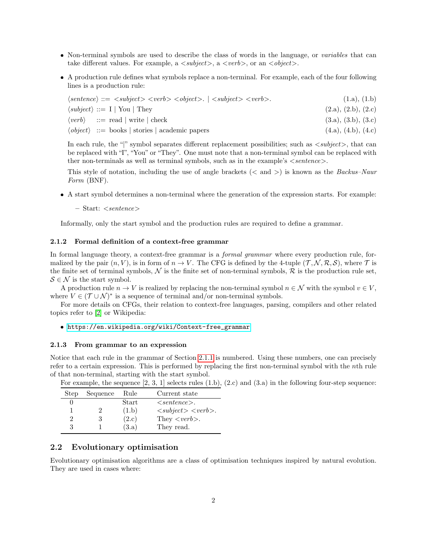- Non-terminal symbols are used to describe the class of words in the language, or variables that can take different values. For example, a  $\langle \text{subject}\rangle$ , a  $\langle \text{verb}\rangle$ , or an  $\langle \text{object}\rangle$ .
- A production rule defines what symbols replace a non-terminal. For example, each of the four following lines is a production rule:

| $\langle sentence \rangle ::= \langle subject \rangle \langle verb \rangle \langle object \rangle$ . $  \langle subject \rangle \langle verb \rangle$ . | (1.a), (1.b)        |
|---------------------------------------------------------------------------------------------------------------------------------------------------------|---------------------|
| $\langle subject \rangle ::= I   \text{You}   \text{They}$                                                                                              | (2.a), (2.b), (2.c) |
| $\langle verb \rangle$ ::= read   write   check                                                                                                         | (3.a), (3.b), (3.c) |
| $\langle object \rangle ::= \text{books}   \text{ stories}   \text{ academic papers}$                                                                   | (4.a), (4.b), (4.c) |

In each rule, the "|" symbol separates different replacement possibilities; such as  $\langle\mathit{subject}\rangle$ , that can be replaced with "I", "You" or "They". One must note that a non-terminal symbol can be replaced with ther non-terminals as well as terminal symbols, such as in the example's  $\leq$  sentence $\geq$ .

This style of notation, including the use of angle brackets ( $\langle$  and  $\rangle$ ) is known as the *Backus–Naur* Form (BNF).

A start symbol determines a non-terminal where the generation of the expression starts. For example:

 $-$  Start:  $\langle sentence \rangle$ 

Informally, only the start symbol and the production rules are required to define a grammar.

#### 2.1.2 Formal definition of a context-free grammar

In formal language theory, a context-free grammar is a *formal grammar* where every production rule, formalized by the pair  $(n, V)$ , is in form of  $n \to V$ . The CFG is defined by the 4-tuple  $(\mathcal{T}, \mathcal{N}, \mathcal{R}, \mathcal{S})$ , where  $\mathcal{T}$  is the finite set of terminal symbols,  $\mathcal N$  is the finite set of non-terminal symbols,  $\mathcal R$  is the production rule set,  $S \in \mathcal{N}$  is the start symbol.

A production rule  $n \to V$  is realized by replacing the non-terminal symbol  $n \in \mathcal{N}$  with the symbol  $v \in V$ , where  $V \in (\mathcal{T} \cup \mathcal{N})^*$  is a sequence of terminal and/or non-terminal symbols.

For more details on CFGs, their relation to context-free languages, parsing, compilers and other related topics refer to [\[2\]](#page-15-1) or Wikipedia:

[https://en.wikipedia.org/wiki/Context-free\\_grammar](https://en.wikipedia.org/wiki/Context-free_grammar)

#### <span id="page-1-0"></span>2.1.3 From grammar to an expression

Notice that each rule in the grammar of Section [2.1.1](#page-0-0) is numbered. Using these numbers, one can precisely refer to a certain expression. This is performed by replacing the first non-terminal symbol with the nth rule of that non-terminal, starting with the start symbol.

| Step | Sequence | Rule  | Current state                                                    |
|------|----------|-------|------------------------------------------------------------------|
|      |          | Start | $\langle sentence \rangle$ .                                     |
|      |          | (1.b) | $\langle\mathit{subject}\rangle$ $\langle\mathit{verb}\rangle$ . |
|      | 3        | (2.c) | They $\langle verb \rangle$ .                                    |
| 3    |          | (3.a) | They read.                                                       |

For example, the sequence  $[2, 3, 1]$  selects rules  $(1.b), (2.c)$  and  $(3.a)$  in the following four-step sequence:

## 2.2 Evolutionary optimisation

Evolutionary optimisation algorithms are a class of optimisation techniques inspired by natural evolution. They are used in cases where: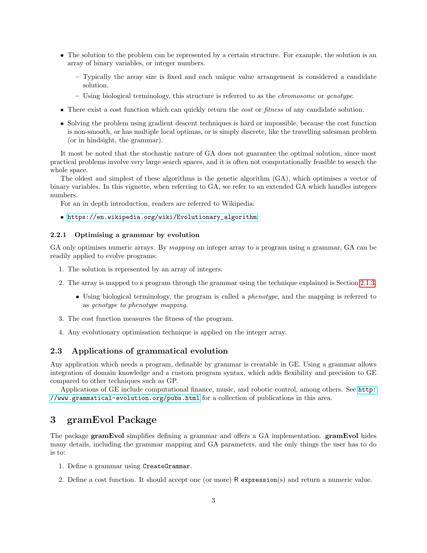- The solution to the problem can be represented by a certain structure. For example, the solution is an array of binary variables, or integer numbers.
	- Typically the array size is fixed and each unique value arrangement is considered a candidate solution.
	- Using biological terminology, this structure is referred to as the chromosome or genotype.
- There exist a cost function which can quickly return the *cost* or *fitness* of any candidate solution.
- Solving the problem using gradient descent techniques is hard or impossible, because the cost function is non-smooth, or has multiple local optimas, or is simply discrete, like the travelling salesman problem (or in hindsight, the grammar).

It most be noted that the stochastic nature of GA does not guarantee the optimal solution, since most practical problems involve very large search spaces, and it is often not computationally feasible to search the whole space.

The oldest and simplest of these algorithms is the genetic algorithm (GA), which optimises a vector of binary variables. In this vignette, when referring to GA, we refer to an extended GA which handles integers numbers.

For an in depth introduction, readers are referred to Wikipedia:

## [https://en.wikipedia.org/wiki/Evolutionary\\_algorithm](https://en.wikipedia.org/wiki/Evolutionary_algorithm)

#### 2.2.1 Optimising a grammar by evolution

GA only optimises numeric arrays. By *mapping* an integer array to a program using a grammar, GA can be readily applied to evolve programs:

- 1. The solution is represented by an array of integers.
- 2. The array is mapped to a program through the grammar using the technique explained is Section [2.1.3.](#page-1-0)
	- Using biological terminology, the program is called a *phenotype*, and the mapping is referred to as genotype to phenotype mapping.
- 3. The cost function measures the fitness of the program.
- 4. Any evolutionary optimisation technique is applied on the integer array.

### 2.3 Applications of grammatical evolution

Any application which needs a program, definable by grammar is creatable in GE. Using a grammar allows integration of domain knowledge and a custom program syntax, which adds flexibility and precision to GE compared to other techniques such as GP.

Applications of GE include computational finance, music, and robotic control, among others. See [http:](http://www.grammatical-evolution.org/pubs.html) [//www.grammatical-evolution.org/pubs.html](http://www.grammatical-evolution.org/pubs.html) for a collection of publications in this area.

## 3 gramEvol Package

The package gramEvol simplifies defining a grammar and offers a GA implementation. gramEvol hides many details, including the grammar mapping and GA parameters, and the only things the user has to do is to:

- 1. Define a grammar using CreateGrammar.
- 2. Define a cost function. It should accept one (or more) R expression(s) and return a numeric value.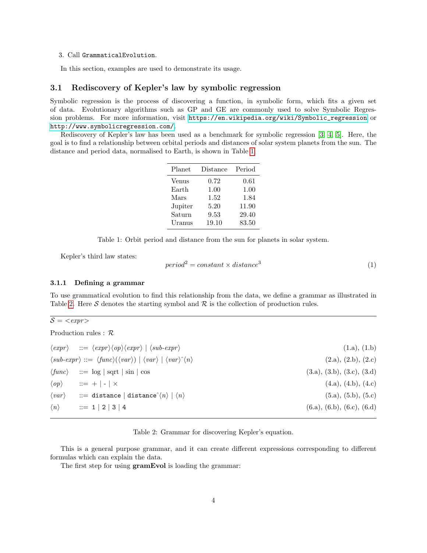#### 3. Call GrammaticalEvolution.

In this section, examples are used to demonstrate its usage.

## 3.1 Rediscovery of Kepler's law by symbolic regression

Symbolic regression is the process of discovering a function, in symbolic form, which fits a given set of data. Evolutionary algorithms such as GP and GE are commonly used to solve Symbolic Regression problems. For more information, visit [https://en.wikipedia.org/wiki/Symbolic\\_regression](https://en.wikipedia.org/wiki/Symbolic_regression) or <http://www.symbolicregression.com/>.

Rediscovery of Kepler's law has been used as a benchmark for symbolic regression [\[3,](#page-15-2) [4,](#page-15-3) [5\]](#page-15-4). Here, the goal is to find a relationship between orbital periods and distances of solar system planets from the sun. The distance and period data, normalised to Earth, is shown in Table [1.](#page-3-0)

| Planet  | Distance | Period |
|---------|----------|--------|
| Venus   | 0.72     | 0.61   |
| Earth   | 1.00     | 1.00   |
| Mars    | 1.52     | 1.84   |
| Jupiter | 5.20     | 11.90  |
| Saturn  | 9.53     | 29.40  |
| Uranus  | 19.10    | 83.50  |

<span id="page-3-0"></span>Table 1: Orbit period and distance from the sun for planets in solar system.

Kepler's third law states:

$$
period2 = constant \times distance3
$$
 (1)

#### 3.1.1 Defining a grammar

To use grammatical evolution to find this relationship from the data, we define a grammar as illustrated in Table [2.](#page-3-1) Here S denotes the starting symbol and  $\mathcal R$  is the collection of production rules.

 $S = \langle \textit{expr} \rangle$ 

Production rules : R

| $\langle expr \rangle$ ::= $\langle expr \rangle \langle op \rangle \langle expr \rangle$   $\langle sub-expr \rangle$        | (1.a), (1.b)               |
|-------------------------------------------------------------------------------------------------------------------------------|----------------------------|
| $\langle sub-expr \rangle ::= \langle func \rangle (\langle var \rangle)   \langle var \rangle   \langle var \rangle \rangle$ | (2.a), (2.b), (2.c)        |
| $\langle func \rangle$ ::= log   sqrt   sin   cos                                                                             | (3.a), (3.b), (3.c), (3.d) |
| $\langle op \rangle$ ::= +   -   ×                                                                                            | (4.a), (4.b), (4.c)        |
| $\langle var \rangle$ ::= distance   distance $\langle n \rangle$   $\langle n \rangle$                                       | (5.a), (5.b), (5.c)        |
| $\langle n \rangle$ ::= 1   2   3   4                                                                                         | (6.a), (6.b), (6.c), (6.d) |

#### <span id="page-3-1"></span>Table 2: Grammar for discovering Kepler's equation.

This is a general purpose grammar, and it can create different expressions corresponding to different formulas which can explain the data.

The first step for using **gramEvol** is loading the grammar: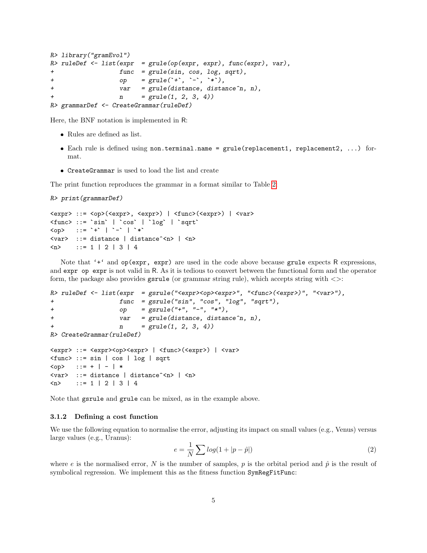```
R> library("gramEvol")
R> ruleDef <- list(expr = grule(op(expr, expr), func(expr), var),
+ func = grule(sin, cos, log, sqrt),
R> library("gramEvol")<br>
R> ruleDef <- list(expr = grule(op(expr, expr),<br>
+ func = grule(sin, cos, log,<br>
+ op = grule(`+`, `-`, `*`),
+ var = grule(distance, distance^n, n),
+ n = grule(1, 2, 3, 4))R> grammarDef <- CreateGrammar(ruleDef)
```
Here, the BNF notation is implemented in R:

- Rules are defined as list.
- Each rule is defined using non.terminal.name = grule(replacement1, replacement2, ...) format.
- CreateGrammar is used to load the list and create

The print function reproduces the grammar in a format similar to Table [2:](#page-3-1)

```
R> print(grammarDef)
```

```
<expr> ::= <op>(<expr>, <expr>) | <func>(<expr>) | <var>
R> print(grammarDef)<br><expr> ::= <op>(<expr>, <expr>) | <func>(<br><func> ::= `sin` | `cos` | `log` | `sqrt`
<op> ::= `+` | `-` | `*`
<var> ::= distance | distance^<n> | <n>
\langle n \rangle ::= 1 | 2 | 3 | 4
```
Note that '<sup>+'</sup> and  $op(exp, expr)$  are used in the code above because grule expects R expressions, and expr op expr is not valid in R. As it is tedious to convert between the functional form and the operator form, the package also provides gsrule (or grammar string rule), which accepts string with <>:

```
R> ruleDef <- list(expr = gsrule("<expr><op><expr>", "<func>(<expr>)", "<var>"),
+ func = gsrule("sin", "cos", "log", "sqrt"),
+ op = gsrule("+", "-", "*"),
+ var = grule(distance, distance^n, n),
+ n = grule(1, 2, 3, 4))R> CreateGrammar(ruleDef)
<expr> ::= <expr><op><expr> | <func>(<expr>) | <var>
<func> ::= sin | cos | log | sqrt
\langleop> ::= + | - | *
<var> ::= distance | distance^<n> | <n>
```
Note that gsrule and grule can be mixed, as in the example above.

#### 3.1.2 Defining a cost function

 $\langle n \rangle$  ::= 1 | 2 | 3 | 4

We use the following equation to normalise the error, adjusting its impact on small values (e.g., Venus) versus large values (e.g., Uranus):

<span id="page-4-0"></span>
$$
e = \frac{1}{N} \sum \log(1 + |p - \hat{p}|) \tag{2}
$$

where e is the normalised error, N is the number of samples, p is the orbital period and  $\hat{p}$  is the result of symbolical regression. We implement this as the fitness function SymRegFitFunc: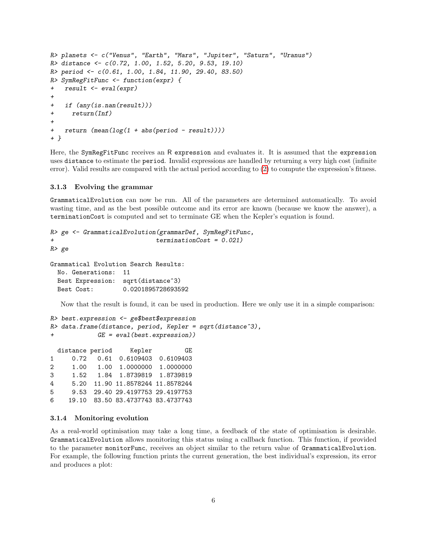```
R> planets <- c("Venus", "Earth", "Mars", "Jupiter", "Saturn", "Uranus")
R> distance <- c(0.72, 1.00, 1.52, 5.20, 9.53, 19.10)
R> period <- c(0.61, 1.00, 1.84, 11.90, 29.40, 83.50)
R> SymRegFitFunc <- function(expr) {
+ result <- eval(expr)
+
+ if (any(is.nan(result)))
+ return(Inf)
+
+ return (mean(log(1 + abs(period - result))))
+ }
```
Here, the SymRegFitFunc receives an R expression and evaluates it. It is assumed that the expression uses distance to estimate the period. Invalid expressions are handled by returning a very high cost (infinite error). Valid results are compared with the actual period according to [\(2\)](#page-4-0) to compute the expression's fitness.

#### 3.1.3 Evolving the grammar

GrammaticalEvolution can now be run. All of the parameters are determined automatically. To avoid wasting time, and as the best possible outcome and its error are known (because we know the answer), a terminationCost is computed and set to terminate GE when the Kepler's equation is found.

```
R> ge <- GrammaticalEvolution(grammarDef, SymRegFitFunc,
+ terminationCost = 0.021)
R> ge
Grammatical Evolution Search Results:
 No. Generations: 11
 Best Expression: sqrt(distance^3)
```
Best Cost: 0.0201895728693592

Now that the result is found, it can be used in production. Here we only use it in a simple comparison:

```
R> best.expression <- ge$best$expression
R> data.frame(distance, period, Kepler = sqrt(distance^3),
           GE = eval(best.expression))
 distance period Kepler GE
1 0.72 0.61 0.6109403 0.6109403
2 1.00 1.00 1.0000000 1.0000000
3 1.52 1.84 1.8739819 1.8739819
4 5.20 11.90 11.8578244 11.8578244
5 9.53 29.40 29.4197753 29.4197753
6 19.10 83.50 83.4737743 83.4737743
```
#### 3.1.4 Monitoring evolution

As a real-world optimisation may take a long time, a feedback of the state of optimisation is desirable. GrammaticalEvolution allows monitoring this status using a callback function. This function, if provided to the parameter monitorFunc, receives an object similar to the return value of GrammaticalEvolution. For example, the following function prints the current generation, the best individual's expression, its error and produces a plot: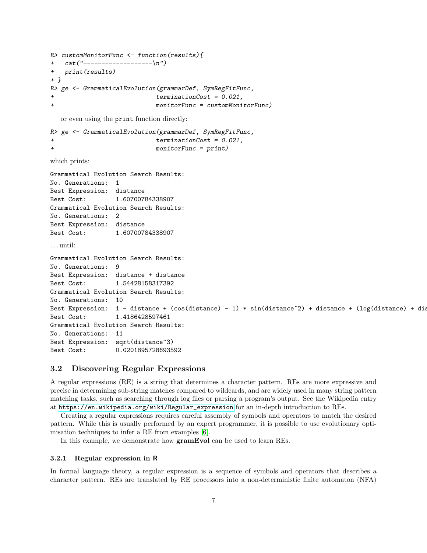```
R> customMonitorFunc <- function(results){
+ cat("---------------(-\n')+ print(results)
+ }
R> ge <- GrammaticalEvolution(grammarDef, SymRegFitFunc,
+ terminationCost = 0.021,
+ monitorFunc = customMonitorFunc)
  or even using the print function directly:
R> ge <- GrammaticalEvolution(grammarDef, SymRegFitFunc,
+ terminationCost = 0.021,
+ monitorFunc = print)
which prints:
Grammatical Evolution Search Results:
No. Generations: 1
Best Expression: distance
Best Cost: 1.60700784338907
Grammatical Evolution Search Results:
No. Generations: 2
Best Expression: distance
Best Cost: 1.60700784338907
. . . until:
Grammatical Evolution Search Results:
No. Generations: 9
Best Expression: distance + distance
Best Cost: 1.54428158317392
Grammatical Evolution Search Results:
No. Generations: 10
Best Expression: 1 - distance + (cos(distance) - 1) * sin(distance^2) + distance + (log(distance) + dis
Best Cost: 1.4186428597461
Grammatical Evolution Search Results:
No. Generations: 11
Best Expression: sqrt(distance^3)
Best Cost: 0.0201895728693592
```
## 3.2 Discovering Regular Expressions

A regular expressions (RE) is a string that determines a character pattern. REs are more expressive and precise in determining sub-string matches compared to wildcards, and are widely used in many string pattern matching tasks, such as searching through log files or parsing a program's output. See the Wikipedia entry at [https://en.wikipedia.org/wiki/Regular\\_expression](https://en.wikipedia.org/wiki/Regular_expression) for an in-depth introduction to REs.

Creating a regular expressions requires careful assembly of symbols and operators to match the desired pattern. While this is usually performed by an expert programmer, it is possible to use evolutionary optimisation techniques to infer a RE from examples [\[6\]](#page-15-5).

In this example, we demonstrate how gramEvol can be used to learn REs.

#### <span id="page-6-0"></span>3.2.1 Regular expression in R

In formal language theory, a regular expression is a sequence of symbols and operators that describes a character pattern. REs are translated by RE processors into a non-deterministic finite automaton (NFA)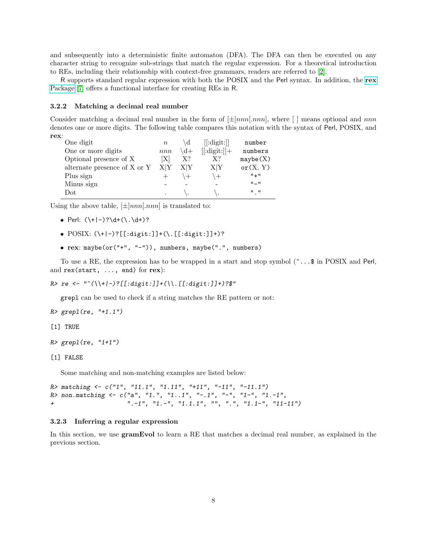and subsequently into a deterministic finite automaton (DFA). The DFA can then be executed on any character string to recognize sub-strings that match the regular expression. For a theoretical introduction to REs, including their relationship with context-free grammars, readers are referred to [\[2\]](#page-15-1).

R supports standard regular expression with both the POSIX and the Perl syntax. In addition, the [rex](https://github.com/kevinushey/rex) [Package](https://github.com/kevinushey/rex) [\[7\]](#page-15-6) offers a functional interface for creating REs in R.

#### 3.2.2 Matching a decimal real number

Consider matching a decimal real number in the form of  $[\pm]nnn[nnn]$ , where  $\lceil \cdot \rceil$  means optional and nnn denotes one or more digits. The following table compares this notation with the syntax of Perl, POSIX, and rex:

| One digit                    | $\, n$ |               | [[:digit:]]     | number                    |
|------------------------------|--------|---------------|-----------------|---------------------------|
| One or more digits           | nnn    | $\mathbf{d}+$ | $[[:digit:]] +$ | numbers                   |
| Optional presence of X       | ΙXΙ    | $X$ ?         | X?              | mxybe(X)                  |
| alternate presence of X or Y | X Y    | X Y           | X Y             | or(X, Y)                  |
| Plus sign                    |        |               | $^{+}$          | $" +"$                    |
| Minus sign                   |        |               |                 | $H = H$                   |
| Dot                          |        |               |                 | $\mathbf{u}$ $\mathbf{u}$ |
|                              |        |               |                 |                           |

Using the above table,  $[\pm]nnn[.nnn]$  is translated to:

- $\bullet$  Perl:  $(\1+|-)?\ddot{\( \cdot \ddot{\cdot} )?}$
- POSIX: (\+|-)?[[:digit:]]+(\.[[:digit:]]+)?
- rex: maybe(or("+", "-")), numbers, maybe(".", numbers)

To use a RE, the expression has to be wrapped in a start and stop symbol  $(\hat{\cdot} \dots \hat{\cdot})$  in POSIX and Perl, and rex(start, ..., end) for rex):

R> re <- "^(\\+|-)?[[:digit:]]+(\\.[[:digit:]]+)?\$"

grepl can be used to check if a string matches the RE pattern or not:

 $R >$  grepl(re, "+1.1")

[1] TRUE

```
R > graph(re, "1+1")
```
#### [1] FALSE

Some matching and non-matching examples are listed below:

 $R$  matching  $\leq c$  ("1", "11.1", "1.11", "+11", "-11", "-11.1")  $R$ > non.matching <- c("a", "1.", "1..1", "-.1", "-", "1-", "1.-1", + ".-1", "1.-", "1.1.1", "", ".", "1.1-", "11-11")

#### 3.2.3 Inferring a regular expression

In this section, we use **gramEvol** to learn a RE that matches a decimal real number, as explained in the previous section.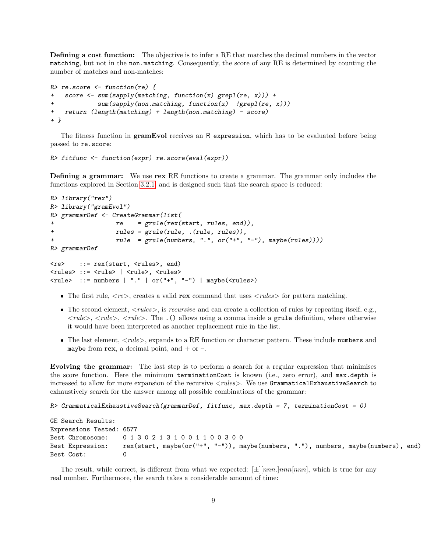Defining a cost function: The objective is to infer a RE that matches the decimal numbers in the vector matching, but not in the non.matching. Consequently, the score of any RE is determined by counting the number of matches and non-matches:

```
R> re.score <- function(re) {
+ score <- sum(sapply(matching, function(x) grepl(re, x))) +
+ sum(sapply(non.matching, function(x) !grepl(re, x)))
+ return (length(matching) + length(non.matching) - score)
+ }
```
The fitness function in **gramEvol** receives an R expression, which has to be evaluated before being passed to re.score:

R> fitfunc <- function(expr) re.score(eval(expr))

Defining a grammar: We use rex RE functions to create a grammar. The grammar only includes the functions explored in Section [3.2.1,](#page-6-0) and is designed such that the search space is reduced:

```
R> library("rex")
R> library("gramEvol")
R> grammarDef <- CreateGrammar(list(
+ re = grule(rex(start, rules, end)),
+ rules = grule(rule, .(rule, rules)),
+ rule = grule(numbers, ".", or("+", "-"), maybe(rules))))
R> grammarDef
<re> ::= rex(start, <rules>, end)
<rules> ::= <rule> | <rule>, <rules>
<rule> ::= numbers | "." | or("+", "-") | maybe(<rules>)
```
- The first rule,  $\langle re \rangle$ , creates a valid rex command that uses  $\langle rules \rangle$  for pattern matching.
- The second element,  $\langle rules \rangle$ , is *recursive* and can create a collection of rules by repeating itself, e.g.,  $\langle rule \rangle$ ,  $\langle rule \rangle$ ,  $\langle rule \rangle$ . The .() allows using a comma inside a grule definition, where otherwise it would have been interpreted as another replacement rule in the list.
- $\bullet$  The last element,  $\langle rule \rangle$ , expands to a RE function or character pattern. These include numbers and maybe from rex, a decimal point, and  $+$  or  $-$ .

Evolving the grammar: The last step is to perform a search for a regular expression that minimises the score function. Here the minimum terminationCost is known (i.e., zero error), and max.depth is increased to allow for more expansion of the recursive  $\langle rules \rangle$ . We use GrammaticalExhaustiveSearch to exhaustively search for the answer among all possible combinations of the grammar:

 $R$ > GrammaticalExhaustiveSearch(grammarDef, fitfunc, max.depth = 7, terminationCost = 0)

GE Search Results: Expressions Tested: 6577 Best Chromosome: 0 1 3 0 2 1 3 1 0 0 1 1 0 0 3 0 0 Best Expression: rex(start, maybe(or("+", "-")), maybe(numbers, "."), numbers, maybe(numbers), end) Best Cost: 0

The result, while correct, is different from what we expected:  $[\pm][nnn]$ , mnn $[nnn]$ , which is true for any real number. Furthermore, the search takes a considerable amount of time: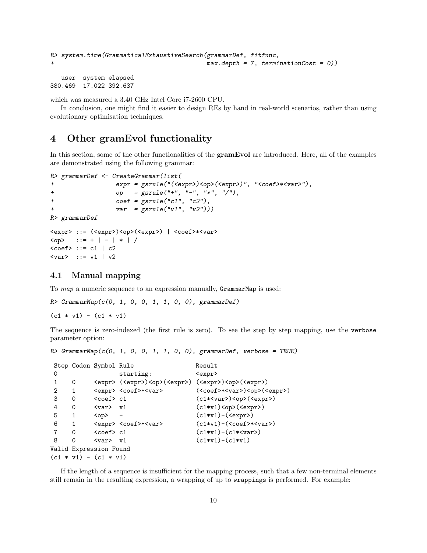```
R> system.time(GrammaticalExhaustiveSearch(grammarDef, fitfunc,
+ max.depth = 7, terminationCost = 0))
```
user system elapsed 380.469 17.022 392.637

which was measured a 3.40 GHz Intel Core i7-2600 CPU.

In conclusion, one might find it easier to design REs by hand in real-world scenarios, rather than using evolutionary optimisation techniques.

## 4 Other gramEvol functionality

In this section, some of the other functionalities of the **gramEvol** are introduced. Here, all of the examples are demonstrated using the following grammar:

```
R> grammarDef <- CreateGrammar(list(
+ expr = gsrule("(<expr>)<op>(<expr>)", "<coef>*<var>"),
+ op = gsrule("+", "-", "*", "/"),
+ coef = gsrule("c1", "c2"),
+ var = gsrule("v1", "v2")))
R> grammarDef
<expr> ::= (<expr>)<op>(<expr>) | <coef>*<var>
\langle opp \rangle ::= + | - | * | /
\text{Coef} ::= c1 | c2
<var> ::= v1 | v2
```
## 4.1 Manual mapping

To *map* a numeric sequence to an expression manually, GrammarMap is used:

R> GrammarMap(c(0, 1, 0, 0, 1, 1, 0, 0), grammarDef)

 $(c1 * v1) - (c1 * v1)$ 

The sequence is zero-indexed (the first rule is zero). To see the step by step mapping, use the verbose parameter option:

```
R> GrammarMap(c(0, 1, 0, 0, 1, 1, 0, 0), grammarDef, verbose = TRUE)
```

```
Step Codon Symbol Rule Result
0 starting: <expr>
1 0 <expr> (<expr>)<op>(<expr>) (<expr>)<op>(<expr>)
2 1 <expr> <coef>*<var> (<coef>*<var>)<op>(<expr>)
3 0 <coef> c1 (c1*<var>)<op>(<expr>)
4 0 <var> v1 (c1*v1)<op>(<expr>)
5 1 \langle op \rangle - (\langle e^{i*}v1) - (\langle e^{i*}v1 \rangle)6 1 <expr> <coef>*<var> (c1*v1)-(<coef>*<var>)
7 0 <coef> c1 (c1*v1)-(c1*<var>)
8 0 <var> v1 (c1*v1)-(c1*v1)
Valid Expression Found
(c1 * v1) - (c1 * v1)
```
If the length of a sequence is insufficient for the mapping process, such that a few non-terminal elements still remain in the resulting expression, a wrapping of up to wrappings is performed. For example: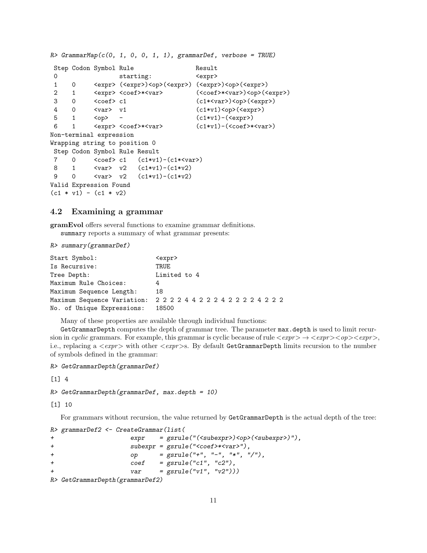```
R> GrammarMap(c(0, 1, 0, 0, 1, 1), grammarDef, verbose = TRUE)
Step Codon Symbol Rule Result
0 starting: <expr>
 1 0 <expr> (<expr>)<op>(<expr>) (<expr>)<op>(<expr>)
 2 1 <expr> <coef>*<var> (<coef>*<var>)<op>(<expr>)
 3 0 <coef> c1 (c1*<var>)<op>(<expr>)
 4 0 <var> v1 (c1*v1)<op>(<expr>)
5 1 \langle op \rangle - (\langle e^{i \times v1}) - (\langle e^{iv} \rangle)6 1 \langle \text{expr} \rangle \langle \text{coeff} \rangle \langle \text{query} \rangle (c1*v1)-(\langle \text{coeff} \rangle*\langle \text{var} \rangle)
Non-terminal expression
Wrapping string to position 0
Step Codon Symbol Rule Result
7 0 \langle \text{coeff} \rangle c1 (\text{c1*}v1) - (\text{c1*}v1)8 1 <var> v2 (c1*v1)-(c1*v2)
9 0 <var> v2 (c1*v1)-(c1*v2)
Valid Expression Found
(c1 * v1) - (c1 * v2)
```
## 4.2 Examining a grammar

gramEvol offers several functions to examine grammar definitions. summary reports a summary of what grammar presents:

R> summary(grammarDef)

| Start Symbol:              | <expr></expr>                                  |
|----------------------------|------------------------------------------------|
| Is Recursive:              | TRUE                                           |
| Tree Depth:                | Limited to 4                                   |
| Maximum Rule Choices:      | 4                                              |
| Maximum Sequence Length:   | 18                                             |
|                            | Maximum Sequence Variation: 222244222422224222 |
| No. of Unique Expressions: | 18500                                          |

Many of these properties are available through individual functions:

GetGrammarDepth computes the depth of grammar tree. The parameter max.depth is used to limit recursion in cyclic grammars. For example, this grammar is cyclic because of rule  $\langle \textit{expr} \rangle \rightarrow \langle \textit{expr} \rangle \langle \textit{opp} \rangle$ i.e., replacing a  $\langle \text{expr}\rangle$  with other  $\langle \text{expr}\rangle$ s. By default GetGrammarDepth limits recursion to the number of symbols defined in the grammar:

```
R> GetGrammarDepth(grammarDef)
```
 $\lceil 1 \rceil$  4

```
R> GetGrammarDepth(grammarDef, max.depth = 10)
```
[1] 10

For grammars without recursion, the value returned by GetGrammarDepth is the actual depth of the tree:

```
R> grammarDef2 <- CreateGrammar(list(
+ expr = gsrule("(<subexpr>)<op>(<subexpr>)"),
+ subexpr = gsrule("<coef>*<var>"),
+ op = gsrule("+", "-", "*", "/"),
+ \text{coeff} = gsrule("c1", "c2"),
+ var = gsrule("v1", "v2")))
R> GetGrammarDepth(grammarDef2)
```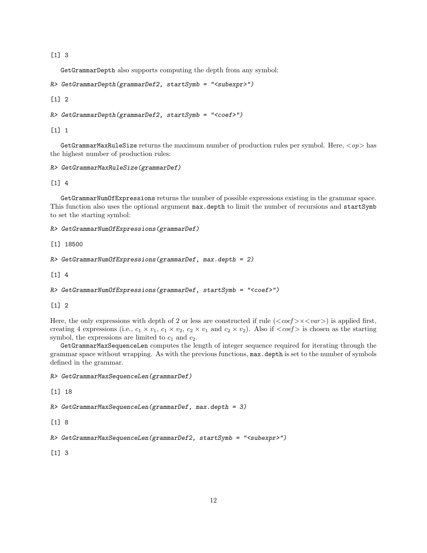[1] 3

GetGrammarDepth also supports computing the depth from any symbol:

```
R> GetGrammarDepth(grammarDef2, startSymb = "<subexpr>")
```
[1] 2

```
R> GetGrammarDepth(grammarDef2, startSymb = "<coef>")
```
[1] 1

GetGrammarMaxRuleSize returns the maximum number of production rules per symbol. Here,  $\langle op \rangle$  has the highest number of production rules:

```
R> GetGrammarMaxRuleSize(grammarDef)
```
[1] 4

GetGrammarNumOfExpressions returns the number of possible expressions existing in the grammar space. This function also uses the optional argument max.depth to limit the number of recursions and startSymb to set the starting symbol:

```
R> GetGrammarNumOfExpressions(grammarDef)
```
[1] 18500

```
R> GetGrammarNumOfExpressions(grammarDef, max.depth = 2)
```
 $\lceil 1 \rceil$  4

```
R> GetGrammarNumOfExpressions(grammarDef, startSymb = "<coef>")
```
 $\lceil 1 \rceil$  2

Here, the only expressions with depth of 2 or less are constructed if rule  $(<\text{coeff}>\times<\text{var}>)$  is applied first, creating 4 expressions (i.e.,  $c_1 \times v_1$ ,  $c_1 \times v_2$ ,  $c_2 \times v_1$  and  $c_2 \times v_2$ ). Also if  $\langle \text{coeff} \rangle$  is chosen as the starting symbol, the expressions are limited to  $c_1$  and  $c_2$ .

GetGrammarMaxSequenceLen computes the length of integer sequence required for iterating through the grammar space without wrapping. As with the previous functions, max.depth is set to the number of symbols defined in the grammar.

```
R> GetGrammarMaxSequenceLen(grammarDef)
```
[1] 18

 $R$ > GetGrammarMaxSequenceLen(grammarDef, max.depth = 3)

[1] 8

```
R> GetGrammarMaxSequenceLen(grammarDef2, startSymb = "<subexpr>")
```
[1] 3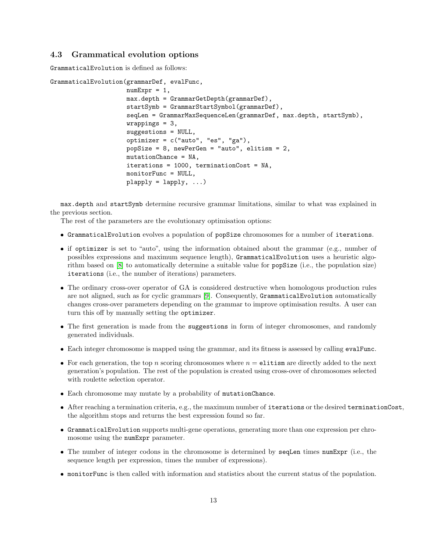### 4.3 Grammatical evolution options

GrammaticalEvolution is defined as follows:

```
GrammaticalEvolution(grammarDef, evalFunc,
                     numExpr = 1,
                     max.depth = GrammarGetDepth(grammarDef),
                     startSymb = GrammarStartSymbol(grammarDef),
                     seqLen = GrammarMaxSequenceLen(grammarDef, max.depth, startSymb),
                     wrappings = 3,
                     suggestions = NULL,
                     optimizer = c("auto", "es", "ga"),
                     popSize = 8, newPerGen = "auto", elitism = 2,
                     mutationChance = NA,
                     iterations = 1000, terminationCost = NA,
                     monitorFunc = NULL,
                     plapply = lapply, ...
```
max.depth and startSymb determine recursive grammar limitations, similar to what was explained in the previous section.

The rest of the parameters are the evolutionary optimisation options:

- GrammaticalEvolution evolves a population of popSize chromosomes for a number of iterations.
- if optimizer is set to "auto", using the information obtained about the grammar (e.g., number of possibles expressions and maximum sequence length), GrammaticalEvolution uses a heuristic algorithm based on [\[8\]](#page-15-7) to automatically determine a suitable value for popSize (i.e., the population size) iterations (i.e., the number of iterations) parameters.
- The ordinary cross-over operator of GA is considered destructive when homologous production rules are not aligned, such as for cyclic grammars [\[9\]](#page-15-8). Consequently, GrammaticalEvolution automatically changes cross-over parameters depending on the grammar to improve optimisation results. A user can turn this off by manually setting the optimizer.
- The first generation is made from the suggestions in form of integer chromosomes, and randomly generated individuals.
- Each integer chromosome is mapped using the grammar, and its fitness is assessed by calling evalFunc.
- For each generation, the top n scoring chromosomes where  $n =$  elitism are directly added to the next generation's population. The rest of the population is created using cross-over of chromosomes selected with roulette selection operator.
- Each chromosome may mutate by a probability of mutationChance.
- After reaching a termination criteria, e.g., the maximum number of iterations or the desired terminationCost, the algorithm stops and returns the best expression found so far.
- GrammaticalEvolution supports multi-gene operations, generating more than one expression per chromosome using the numExpr parameter.
- The number of integer codons in the chromosome is determined by seqLen times numExpr (i.e., the sequence length per expression, times the number of expressions).
- monitorFunc is then called with information and statistics about the current status of the population.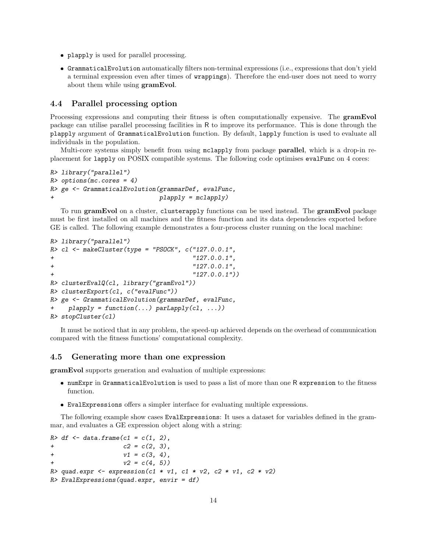- plapply is used for parallel processing.
- GrammaticalEvolution automatically filters non-terminal expressions (i.e., expressions that don't yield a terminal expression even after times of wrappings). Therefore the end-user does not need to worry about them while using gramEvol.

### 4.4 Parallel processing option

Processing expressions and computing their fitness is often computationally expensive. The **gramEvol** package can utilise parallel processing facilities in R to improve its performance. This is done through the plapply argument of GrammaticalEvolution function. By default, lapply function is used to evaluate all individuals in the population.

Multi-core systems simply benefit from using mclapply from package parallel, which is a drop-in replacement for lapply on POSIX compatible systems. The following code optimises evalFunc on 4 cores:

```
R> library("parallel")
R> options(mc.cores = 4)
R> ge <- GrammaticalEvolution(grammarDef, evalFunc,
                              plapply = mclapply)
```
To run gramEvol on a cluster, clusterapply functions can be used instead. The gramEvol package must be first installed on all machines and the fitness function and its data dependencies exported before GE is called. The following example demonstrates a four-process cluster running on the local machine:

```
R> library("parallel")
R > c1 <- makeCluster(type = "PSOCK", c("127.0.0.1",+ "127.0.0.1",
+ "127.0.0.1",
+ "127.0.0.1"))
R> clusterEvalQ(cl, library("gramEvol"))
R> clusterExport(cl, c("evalFunc"))
R> ge <- GrammaticalEvolution(grammarDef, evalFunc,
+ plapply = function(...) parLapply(cl, ...))
R> stopCluster(cl)
```
It must be noticed that in any problem, the speed-up achieved depends on the overhead of communication compared with the fitness functions' computational complexity.

### 4.5 Generating more than one expression

gramEvol supports generation and evaluation of multiple expressions:

- numExpr in GrammaticalEvolution is used to pass a list of more than one R expression to the fitness function.
- EvalExpressions offers a simpler interface for evaluating multiple expressions.

The following example show cases EvalExpressions: It uses a dataset for variables defined in the grammar, and evaluates a GE expression object along with a string:

```
R > df \leftarrow data frame(c1 = c(1, 2),+ c2 = c(2, 3),
+ v1 = c(3, 4),
+ v2 = c(4, 5)R> quad.expr <- expression(c1 * v1, c1 * v2, c2 * v1, c2 * v2)
R> EvalExpressions(quad.expr, envir = df)
```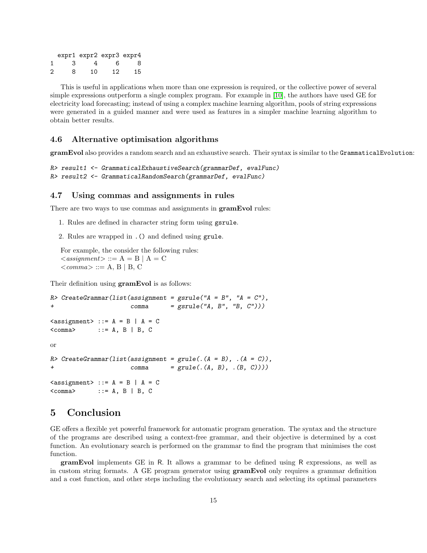|   |      | expr1 expr2 expr3 expr4 |    |    |
|---|------|-------------------------|----|----|
|   | - 3- | 4                       | к. | 8  |
| 2 | 8    | 10                      | 12 | 15 |

This is useful in applications when more than one expression is required, or the collective power of several simple expressions outperform a single complex program. For example in [\[10\]](#page-15-9), the authors have used GE for electricity load forecasting; instead of using a complex machine learning algorithm, pools of string expressions were generated in a guided manner and were used as features in a simpler machine learning algorithm to obtain better results.

### 4.6 Alternative optimisation algorithms

gramEvol also provides a random search and an exhaustive search. Their syntax is similar to the GrammaticalEvolution:

```
R> result1 <- GrammaticalExhaustiveSearch(grammarDef, evalFunc)
R> result2 <- GrammaticalRandomSearch(grammarDef, evalFunc)
```
### 4.7 Using commas and assignments in rules

There are two ways to use commas and assignments in **gramEvol** rules:

- 1. Rules are defined in character string form using gsrule.
- 2. Rules are wrapped in .() and defined using grule.

For example, the consider the following rules:  $\langle$  assignment $\rangle ::= A = B | A = C$  $\langle commaz \rangle ::= A, B \mid B, C$ 

Their definition using  $\mathbf{gramEvol}$  is as follows:

```
R> CreateGrammar(list(assignment = gsrule("A = B", "A = C"),
+ comma = gsrule("A, B", "B, C")))
\langle \text{assignment} \rangle ::= A = B | A = C
<comma> ::= A, B | B, C
or
R> CreateGrammar(list(assignment = grule(.(A = B), .(A = C)),
+ comma = grule(.(A, B), .(B, C))))
\leqassignment> ::= A = B | A = C
<comma> ::= A, B | B, C
```
## 5 Conclusion

GE offers a flexible yet powerful framework for automatic program generation. The syntax and the structure of the programs are described using a context-free grammar, and their objective is determined by a cost function. An evolutionary search is performed on the grammar to find the program that minimises the cost function.

gramEvol implements GE in R. It allows a grammar to be defined using R expressions, as well as in custom string formats. A GE program generator using gramEvol only requires a grammar definition and a cost function, and other steps including the evolutionary search and selecting its optimal parameters